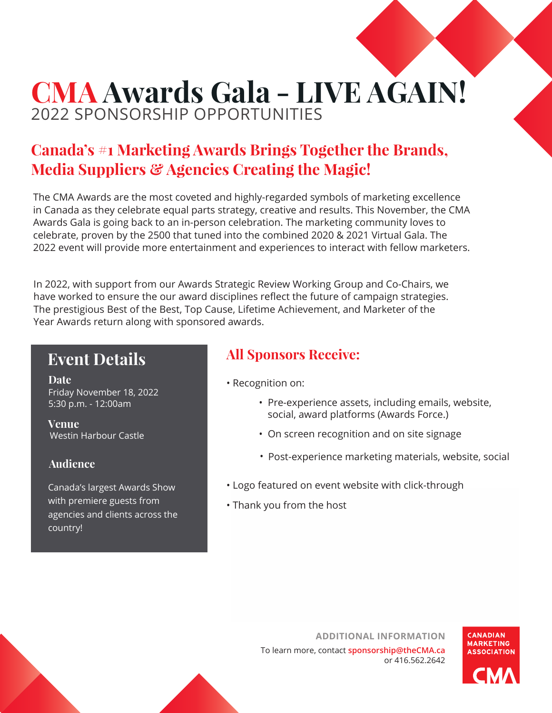# **CMA Awards Gala - LIVE AGAIN!** 2022 SPONSORSHIP OPPORTUNITIES

## **Canada's #1 Marketing Awards Brings Together the Brands, Media Suppliers & Agencies Creating the Magic!**

The CMA Awards are the most coveted and highly-regarded symbols of marketing excellence in Canada as they celebrate equal parts strategy, creative and results. This November, the CMA Awards Gala is going back to an in-person celebration. The marketing community loves to celebrate, proven by the 2500 that tuned into the combined 2020 & 2021 Virtual Gala. The 2022 event will provide more entertainment and experiences to interact with fellow marketers.

In 2022, with support from our Awards Strategic Review Working Group and Co-Chairs, we have worked to ensure the our award disciplines reflect the future of campaign strategies. The prestigious Best of the Best, Top Cause, Lifetime Achievement, and Marketer of the Year Awards return along with sponsored awards.

### **Event Details**

**Date** Friday November 18, 2022 5:30 p.m. - 12:00am

**Venue**  Westin Harbour Castle

#### **Audience**

Canada's largest Awards Show with premiere guests from agencies and clients across the country!

#### **All Sponsors Receive:**

- Recognition on:
	- Pre-experience assets, including emails, website, social, award platforms (Awards Force.)
	- On screen recognition and on site signage
	- Post-experience marketing materials, website, social
- Logo featured on event website with click-through
- Thank you from the host

**ADDITIONAL INFORMATION** To learn more, contact **sponsorship@theCMA.ca** or 416.562.2642



**CANADIAN MARKETING ASSOCIATION**